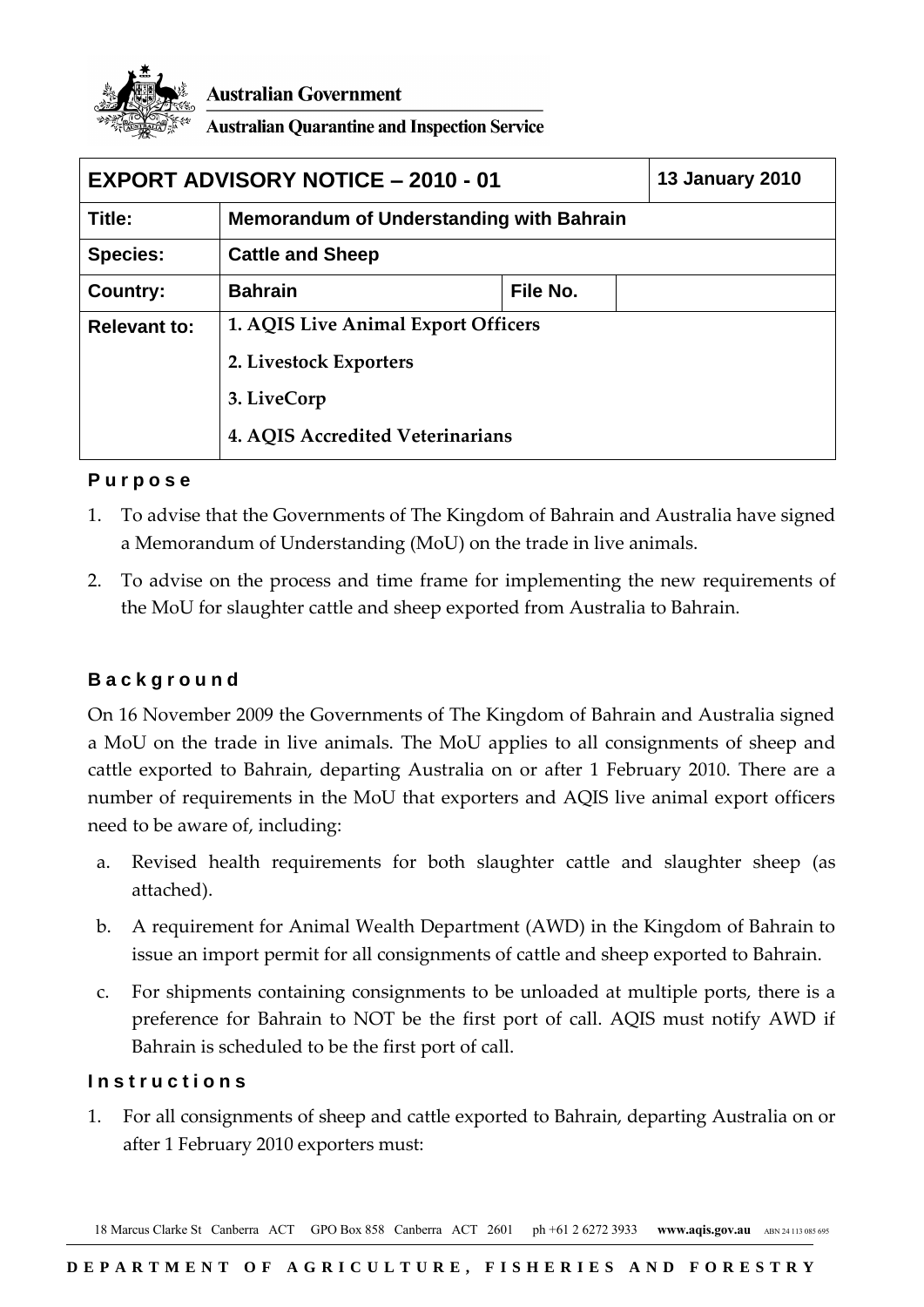

**Australian Government** 

**Australian Quarantine and Inspection Service** 

| <b>EXPORT ADVISORY NOTICE - 2010 - 01</b> |                                                                                                                  |          | <b>13 January 2010</b> |
|-------------------------------------------|------------------------------------------------------------------------------------------------------------------|----------|------------------------|
| Title:                                    | Memorandum of Understanding with Bahrain                                                                         |          |                        |
| <b>Species:</b>                           | <b>Cattle and Sheep</b>                                                                                          |          |                        |
| Country:                                  | <b>Bahrain</b>                                                                                                   | File No. |                        |
| <b>Relevant to:</b>                       | 1. AQIS Live Animal Export Officers<br>2. Livestock Exporters<br>3. LiveCorp<br>4. AQIS Accredited Veterinarians |          |                        |
|                                           |                                                                                                                  |          |                        |
|                                           |                                                                                                                  |          |                        |
|                                           |                                                                                                                  |          |                        |

# **P u r p o s e**

- 1. To advise that the Governments of The Kingdom of Bahrain and Australia have signed a Memorandum of Understanding (MoU) on the trade in live animals.
- 2. To advise on the process and time frame for implementing the new requirements of the MoU for slaughter cattle and sheep exported from Australia to Bahrain.

# **B a c k g r o u n d**

On 16 November 2009 the Governments of The Kingdom of Bahrain and Australia signed a MoU on the trade in live animals. The MoU applies to all consignments of sheep and cattle exported to Bahrain, departing Australia on or after 1 February 2010. There are a number of requirements in the MoU that exporters and AQIS live animal export officers need to be aware of, including:

- a. Revised health requirements for both slaughter cattle and slaughter sheep (as attached).
- b. A requirement for Animal Wealth Department (AWD) in the Kingdom of Bahrain to issue an import permit for all consignments of cattle and sheep exported to Bahrain.
- c. For shipments containing consignments to be unloaded at multiple ports, there is a preference for Bahrain to NOT be the first port of call. AQIS must notify AWD if Bahrain is scheduled to be the first port of call.

# **I n s t r u c t i o n s**

1. For all consignments of sheep and cattle exported to Bahrain, departing Australia on or after 1 February 2010 exporters must:

18 Marcus Clarke St Canberra ACT GPO Box 858 Canberra ACT 2601 ph +61 2 6272 3933 **www.aqis.gov.au** ABN 24 113 085 695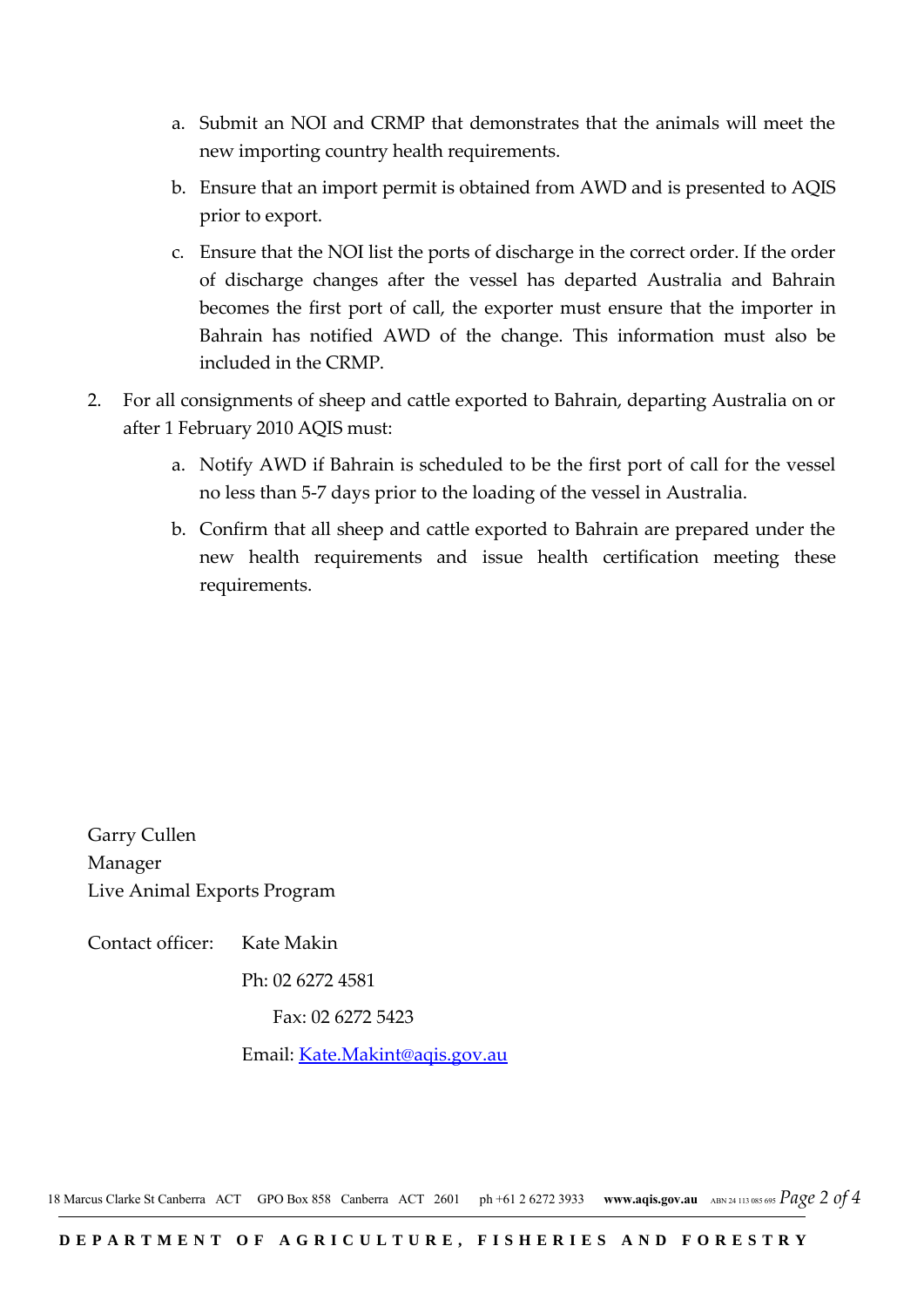- a. Submit an NOI and CRMP that demonstrates that the animals will meet the new importing country health requirements.
- b. Ensure that an import permit is obtained from AWD and is presented to AQIS prior to export.
- c. Ensure that the NOI list the ports of discharge in the correct order. If the order of discharge changes after the vessel has departed Australia and Bahrain becomes the first port of call, the exporter must ensure that the importer in Bahrain has notified AWD of the change. This information must also be included in the CRMP.
- 2. For all consignments of sheep and cattle exported to Bahrain, departing Australia on or after 1 February 2010 AQIS must:
	- a. Notify AWD if Bahrain is scheduled to be the first port of call for the vessel no less than 5-7 days prior to the loading of the vessel in Australia.
	- b. Confirm that all sheep and cattle exported to Bahrain are prepared under the new health requirements and issue health certification meeting these requirements.

Garry Cullen Manager Live Animal Exports Program

Contact officer: Kate Makin

Ph: 02 6272 4581

Fax: 02 6272 5423

Email: [Kate.Makint@aqis.gov.au](mailto:Kate.Makint@aqis.gov.au)

18 Marcus Clarke St Canberra ACT GPO Box 858 Canberra ACT 2601 ph +61 2 6272 3933 **www.aqis.gov.au** ABN 24 113 085 695 *Page 2 of 4*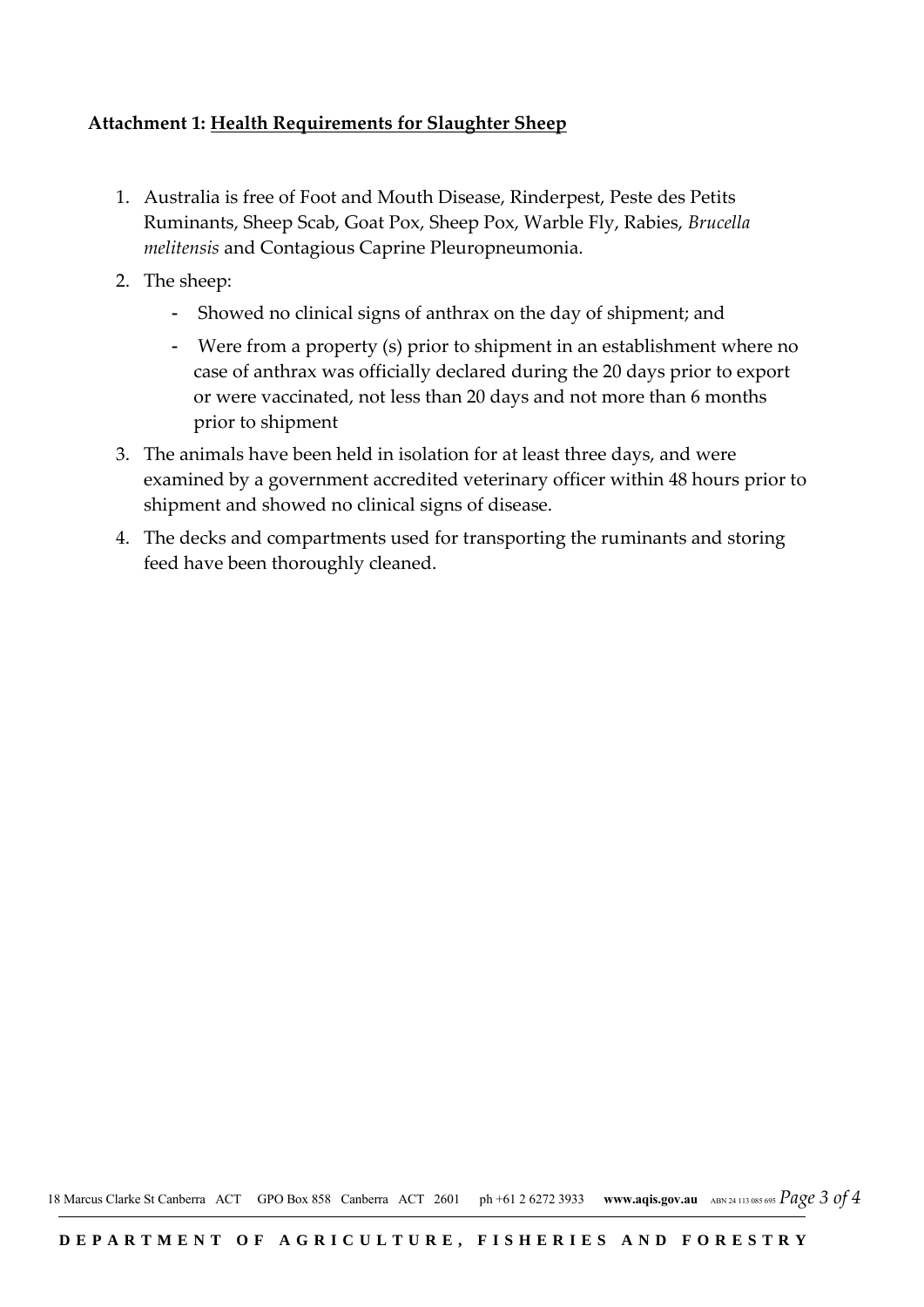### **Attachment 1: Health Requirements for Slaughter Sheep**

- 1. Australia is free of Foot and Mouth Disease, Rinderpest, Peste des Petits Ruminants, Sheep Scab, Goat Pox, Sheep Pox, Warble Fly, Rabies, *Brucella melitensis* and Contagious Caprine Pleuropneumonia.
- 2. The sheep:
	- Showed no clinical signs of anthrax on the day of shipment; and
	- Were from a property (s) prior to shipment in an establishment where no case of anthrax was officially declared during the 20 days prior to export or were vaccinated, not less than 20 days and not more than 6 months prior to shipment
- 3. The animals have been held in isolation for at least three days, and were examined by a government accredited veterinary officer within 48 hours prior to shipment and showed no clinical signs of disease.
- 4. The decks and compartments used for transporting the ruminants and storing feed have been thoroughly cleaned.